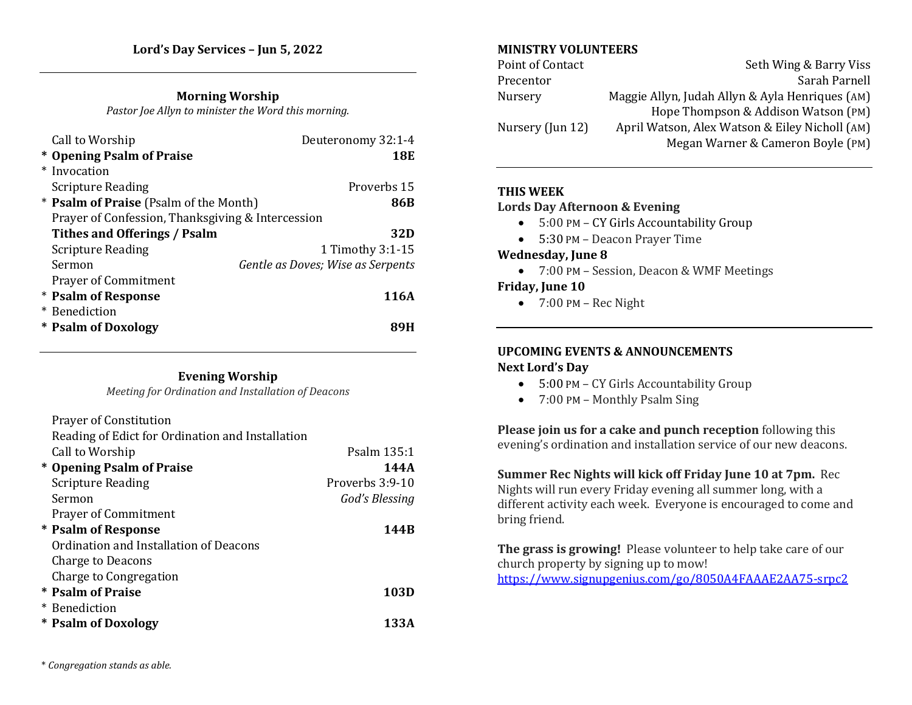## **Morning Worship**

*Pastor Joe Allyn to minister the Word this morning.* 

| Call to Worship                                   | Deuteronomy 32:1-4                |
|---------------------------------------------------|-----------------------------------|
| * Opening Psalm of Praise                         | 18E                               |
| * Invocation                                      |                                   |
| <b>Scripture Reading</b>                          | Proverbs 15                       |
| * <b>Psalm of Praise</b> (Psalm of the Month)     | 86B                               |
| Prayer of Confession, Thanksgiving & Intercession |                                   |
| Tithes and Offerings / Psalm                      | 32D                               |
| <b>Scripture Reading</b>                          | 1 Timothy 3:1-15                  |
| Sermon                                            | Gentle as Doves; Wise as Serpents |
| <b>Prayer of Commitment</b>                       |                                   |
| * Psalm of Response                               | 116A                              |
| * Benediction                                     |                                   |
| * Psalm of Doxology                               | 89н                               |

#### **Evening Worship**

*Meeting for Ordination and Installation of Deacons*

| <b>Prayer of Constitution</b>                    |                 |
|--------------------------------------------------|-----------------|
| Reading of Edict for Ordination and Installation |                 |
| Call to Worship                                  | Psalm 135:1     |
| * Opening Psalm of Praise                        | 144A            |
| <b>Scripture Reading</b>                         | Proverbs 3:9-10 |
| Sermon                                           | God's Blessing  |
| <b>Prayer of Commitment</b>                      |                 |
| <b>* Psalm of Response</b>                       | 144B            |
| Ordination and Installation of Deacons           |                 |
| Charge to Deacons                                |                 |
| Charge to Congregation                           |                 |
| * Psalm of Praise                                | 103D            |
| * Benediction                                    |                 |
| * Psalm of Doxology                              | 133A            |

## **MINISTRY VOLUNTEERS**

| Point of Contact | Seth Wing & Barry Viss                          |
|------------------|-------------------------------------------------|
| Precentor        | Sarah Parnell                                   |
| Nursery          | Maggie Allyn, Judah Allyn & Ayla Henriques (AM) |
|                  | Hope Thompson & Addison Watson (PM)             |
| Nursery (Jun 12) | April Watson, Alex Watson & Eiley Nicholl (AM)  |
|                  | Megan Warner & Cameron Boyle (PM)               |

## **THIS WEEK**

#### **Lords Day Afternoon & Evening**

- 5:00 PM CY Girls Accountability Group
- 5:30 PM Deacon Prayer Time

# **Wednesday, June 8**

• 7:00 PM – Session, Deacon & WMF Meetings

## **Friday, June 10**

 $\bullet$  7:00 PM – Rec Night

#### **UPCOMING EVENTS & ANNOUNCEMENTS Next Lord's Day**

- 5:00 PM CY Girls Accountability Group
- 7:00 PM Monthly Psalm Sing

# **Please join us for a cake and punch reception** following this evening's ordination and installation service of our new deacons.

**Summer Rec Nights will kick off Friday June 10 at 7pm.** Rec Nights will run every Friday evening all summer long, with a different activity each week. Everyone is encouraged to come and bring friend.

**The grass is growing!** Please volunteer to help take care of our church property by signing up to mow! <https://www.signupgenius.com/go/8050A4FAAAE2AA75-srpc2>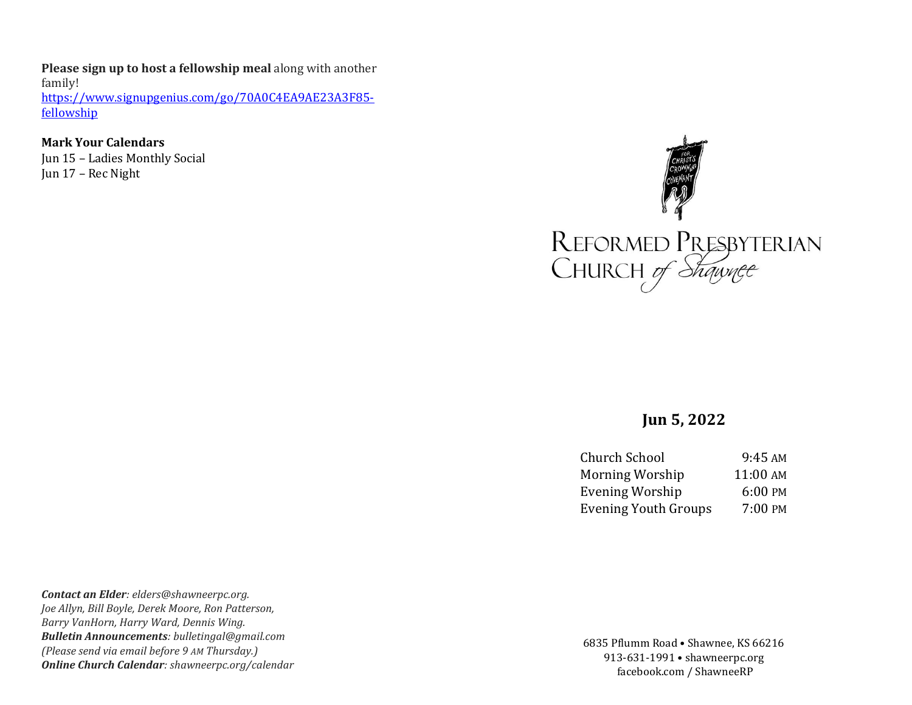**Please sign up to host a fellowship meal** along with another family! [https://www.signupgenius.com/go/70A0C4EA9AE23A3F85](https://www.signupgenius.com/go/70A0C4EA9AE23A3F85-fellowship) [fellowship](https://www.signupgenius.com/go/70A0C4EA9AE23A3F85-fellowship)

**Mark Your Calendars** Jun 15 – Ladies Monthly Social Jun 17 – Rec Night



# **Jun 5, 2022**

| 9:45 AM  |
|----------|
| 11:00 AM |
| 6:00 PM  |
| 7:00 PM  |
|          |

*Contact an Elder: elders@shawneerpc.org. Joe Allyn, Bill Boyle, Derek Moore, Ron Patterson, Barry VanHorn, Harry Ward, Dennis Wing. Bulletin Announcements: bulletingal@gmail.com (Please send via email before 9 AM Thursday.) Online Church Calendar: shawneerpc.org/calendar*

6835 Pflumm Road • Shawnee, KS 66216 913-631-1991 • shawneerpc.org facebook.com / ShawneeRP